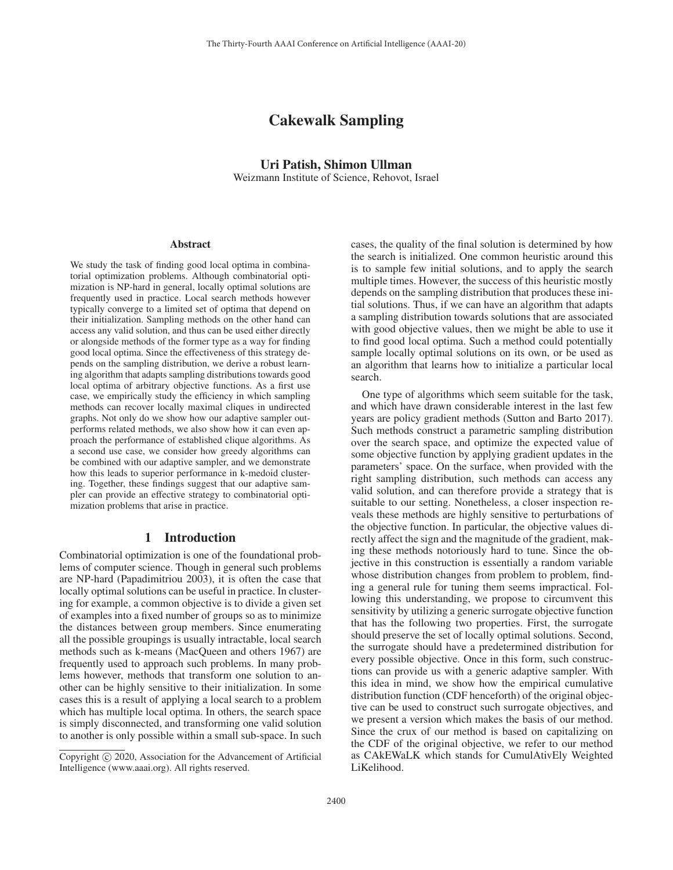# Cakewalk Sampling

# Uri Patish, Shimon Ullman Weizmann Institute of Science, Rehovot, Israel

#### **Abstract**

We study the task of finding good local optima in combinatorial optimization problems. Although combinatorial optimization is NP-hard in general, locally optimal solutions are frequently used in practice. Local search methods however typically converge to a limited set of optima that depend on their initialization. Sampling methods on the other hand can access any valid solution, and thus can be used either directly or alongside methods of the former type as a way for finding good local optima. Since the effectiveness of this strategy depends on the sampling distribution, we derive a robust learning algorithm that adapts sampling distributions towards good local optima of arbitrary objective functions. As a first use case, we empirically study the efficiency in which sampling methods can recover locally maximal cliques in undirected graphs. Not only do we show how our adaptive sampler outperforms related methods, we also show how it can even approach the performance of established clique algorithms. As a second use case, we consider how greedy algorithms can be combined with our adaptive sampler, and we demonstrate how this leads to superior performance in k-medoid clustering. Together, these findings suggest that our adaptive sampler can provide an effective strategy to combinatorial optimization problems that arise in practice.

### 1 Introduction

Combinatorial optimization is one of the foundational problems of computer science. Though in general such problems are NP-hard (Papadimitriou 2003), it is often the case that locally optimal solutions can be useful in practice. In clustering for example, a common objective is to divide a given set of examples into a fixed number of groups so as to minimize the distances between group members. Since enumerating all the possible groupings is usually intractable, local search methods such as k-means (MacQueen and others 1967) are frequently used to approach such problems. In many problems however, methods that transform one solution to another can be highly sensitive to their initialization. In some cases this is a result of applying a local search to a problem which has multiple local optima. In others, the search space is simply disconnected, and transforming one valid solution to another is only possible within a small sub-space. In such

cases, the quality of the final solution is determined by how the search is initialized. One common heuristic around this is to sample few initial solutions, and to apply the search multiple times. However, the success of this heuristic mostly depends on the sampling distribution that produces these initial solutions. Thus, if we can have an algorithm that adapts a sampling distribution towards solutions that are associated with good objective values, then we might be able to use it to find good local optima. Such a method could potentially sample locally optimal solutions on its own, or be used as an algorithm that learns how to initialize a particular local search.

One type of algorithms which seem suitable for the task, and which have drawn considerable interest in the last few years are policy gradient methods (Sutton and Barto 2017). Such methods construct a parametric sampling distribution over the search space, and optimize the expected value of some objective function by applying gradient updates in the parameters' space. On the surface, when provided with the right sampling distribution, such methods can access any valid solution, and can therefore provide a strategy that is suitable to our setting. Nonetheless, a closer inspection reveals these methods are highly sensitive to perturbations of the objective function. In particular, the objective values directly affect the sign and the magnitude of the gradient, making these methods notoriously hard to tune. Since the objective in this construction is essentially a random variable whose distribution changes from problem to problem, finding a general rule for tuning them seems impractical. Following this understanding, we propose to circumvent this sensitivity by utilizing a generic surrogate objective function that has the following two properties. First, the surrogate should preserve the set of locally optimal solutions. Second, the surrogate should have a predetermined distribution for every possible objective. Once in this form, such constructions can provide us with a generic adaptive sampler. With this idea in mind, we show how the empirical cumulative distribution function (CDF henceforth) of the original objective can be used to construct such surrogate objectives, and we present a version which makes the basis of our method. Since the crux of our method is based on capitalizing on the CDF of the original objective, we refer to our method as CAkEWaLK which stands for CumulAtivEly Weighted LiKelihood.

Copyright  $\odot$  2020, Association for the Advancement of Artificial Intelligence (www.aaai.org). All rights reserved.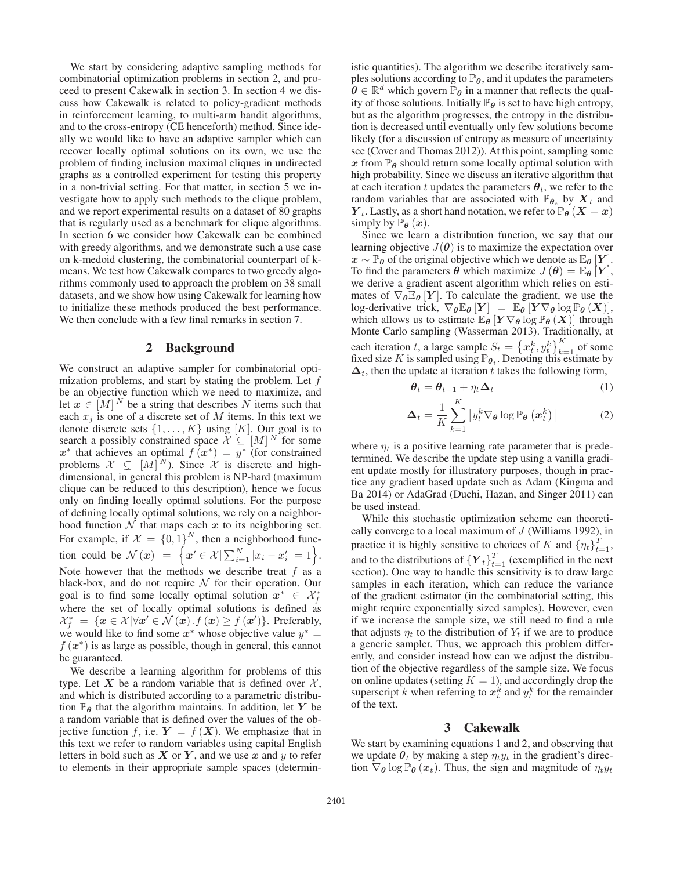We start by considering adaptive sampling methods for combinatorial optimization problems in section 2, and proceed to present Cakewalk in section 3. In section 4 we discuss how Cakewalk is related to policy-gradient methods in reinforcement learning, to multi-arm bandit algorithms, and to the cross-entropy (CE henceforth) method. Since ideally we would like to have an adaptive sampler which can recover locally optimal solutions on its own, we use the problem of finding inclusion maximal cliques in undirected graphs as a controlled experiment for testing this property in a non-trivial setting. For that matter, in section 5 we investigate how to apply such methods to the clique problem, and we report experimental results on a dataset of 80 graphs that is regularly used as a benchmark for clique algorithms. In section 6 we consider how Cakewalk can be combined with greedy algorithms, and we demonstrate such a use case on k-medoid clustering, the combinatorial counterpart of kmeans. We test how Cakewalk compares to two greedy algorithms commonly used to approach the problem on 38 small datasets, and we show how using Cakewalk for learning how to initialize these methods produced the best performance. We then conclude with a few final remarks in section 7.

### 2 Background

We construct an adaptive sampler for combinatorial optimization problems, and start by stating the problem. Let  $f$ be an objective function which we need to maximize, and let  $x \in [M]^N$  be a string that describes N items such that each  $x_j$  is one of a discrete set of M items. In this text we denote discrete sets  $\{1, \ldots, K\}$  using [K]. Our goal is to search a possibly constrained space  $\mathcal{X} \subseteq [M]^N$  for some  $x^*$  that achieves an optimal  $f(x^*) = y^*$  (for constrained problems  $X \subsetneq [M]^N$ ). Since X is discrete and high-<br>dimensional in general this problem is NP-hard (maximum dimensional, in general this problem is NP-hard (maximum clique can be reduced to this description), hence we focus only on finding locally optimal solutions. For the purpose of defining locally optimal solutions, we rely on a neighborhood function  $N$  that maps each  $x$  to its neighboring set. For example, if  $\mathcal{X} = \{0, 1\}^N$ , then a neighborhood function could be  $\mathcal{N}(x) = \left\{ x' \in \mathcal{X} | \sum_{i=1}^{N} |x_i - x'_i| = 1 \right\}.$ Note however that the methods we describe treat  $f$  as a black-box, and do not require  $N$  for their operation. Our goal is to find some locally optimal solution  $x^* \in \mathcal{X}_f^*$ where the set of locally optimal solutions is defined as  $\mathcal{X}_{f}^{*} = \{x \in \mathcal{X} | \forall x' \in \mathcal{N}(x) \cdot f(x) \geq f(x')\}.$  Preferably, we would like to find some  $x^*$  whose objective value  $y^* =$ <sup>f</sup> (*x*<sup>∗</sup>) is as large as possible, though in general, this cannot be guaranteed.

We describe a learning algorithm for problems of this type. Let X be a random variable that is defined over  $X$ , and which is distributed according to a parametric distribution  $\mathbb{P}_{\theta}$  that the algorithm maintains. In addition, let *Y* be a random variable that is defined over the values of the objective function f, i.e.  $Y = f(X)$ . We emphasize that in this text we refer to random variables using capital English letters in bold such as  $X$  or  $Y$ , and we use  $x$  and  $y$  to refer to elements in their appropriate sample spaces (determin-

istic quantities). The algorithm we describe iteratively samples solutions according to  $\mathbb{P}_{\theta}$ , and it updates the parameters  $\theta \in \mathbb{R}^d$  which govern  $\mathbb{P}_{\theta}$  in a manner that reflects the quality of those solutions. Initially  $\mathbb{P}_{\theta}$  is set to have high entropy, but as the algorithm progresses, the entropy in the distribution is decreased until eventually only few solutions become likely (for a discussion of entropy as measure of uncertainty see (Cover and Thomas 2012)). At this point, sampling some  $x$  from  $\mathbb{P}_{\theta}$  should return some locally optimal solution with high probability. Since we discuss an iterative algorithm that at each iteration t updates the parameters  $\theta_t$ , we refer to the random variables that are associated with  $\mathbb{P}_{\theta_t}$  by  $X_t$  and *Y*<sub>t</sub>. Lastly, as a short hand notation, we refer to  $\mathbb{P}_{\theta}$  (*X* = *x*) simply by  $\mathbb{P}_{\theta}(x)$ .

Since we learn a distribution function, we say that our learning objective  $J(\theta)$  is to maximize the expectation over  $x \sim \mathbb{P}_{\theta}$  of the original objective which we denote as  $\mathbb{E}_{\theta}[Y]$ . To find the parameters  $\theta$  which maximize  $J(\theta) = \mathbb{E}_{\theta} [Y],$ we derive a gradient ascent algorithm which relies on estimates of  $\nabla_{\theta} \mathbb{E}_{\theta} [Y]$ . To calculate the gradient, we use the log-derivative trick,  $\nabla_{\theta} \mathbb{E}_{\theta} [Y] = \mathbb{E}_{\theta} [Y \nabla_{\theta} \log \mathbb{P}_{\theta} (X)],$ <br>which allows us to estimate  $\mathbb{E}_{\theta} [Y \nabla_{\theta} \log \mathbb{P}_{\theta} (X)]$  through which allows us to estimate <sup>E</sup>*<sup>θ</sup>* [*<sup>Y</sup>* <sup>∇</sup>*<sup>θ</sup>* log <sup>P</sup>*<sup>θ</sup>* (*X*)] through Monte Carlo sampling (Wasserman 2013). Traditionally, at each iteration t, a large sample  $S_t = \{x_t^k, y_t^k\}_{k=1}^K$  of some fixed size K is sampled using  $\mathbb{P}_e$ . Denoting this estimate by fixed size K is sampled using  $\mathbb{P}_{\theta_t}$ . Denoting this estimate by  $\Delta_t$ , then the update at iteration t takes the following form,

$$
\boldsymbol{\theta}_t = \boldsymbol{\theta}_{t-1} + \eta_t \boldsymbol{\Delta}_t \tag{1}
$$

$$
\Delta_t = \frac{1}{K} \sum_{k=1}^{K} \left[ y_t^k \nabla_{\theta} \log \mathbb{P}_{\theta} \left( \boldsymbol{x}_t^k \right) \right]
$$
 (2)

where  $\eta_t$  is a positive learning rate parameter that is predetermined. We describe the update step using a vanilla gradient update mostly for illustratory purposes, though in practice any gradient based update such as Adam (Kingma and Ba 2014) or AdaGrad (Duchi, Hazan, and Singer 2011) can be used instead.

While this stochastic optimization scheme can theoretically converge to a local maximum of  $J$  (Williams 1992), in practice it is highly sensitive to choices of K and  $\{\eta_t\}_{t=1}^T$ , and to the distributions of  ${Y_t}_{t=1}^T$  (exemplified in the next section). One way to handle this sensitivity is to draw large samples in each iteration, which can reduce the variance of the gradient estimator (in the combinatorial setting, this might require exponentially sized samples). However, even if we increase the sample size, we still need to find a rule that adjusts  $\eta_t$  to the distribution of  $Y_t$  if we are to produce a generic sampler. Thus, we approach this problem differently, and consider instead how can we adjust the distribution of the objective regardless of the sample size. We focus on online updates (setting  $K = 1$ ), and accordingly drop the superscript k when referring to  $x_t^k$  and  $y_t^k$  for the remainder of the text.

### 3 Cakewalk

We start by examining equations 1 and 2, and observing that we update  $\theta_t$  by making a step  $\eta_t y_t$  in the gradient's direction  $\nabla_{\theta} \log \mathbb{P}_{\theta} (x_t)$ . Thus, the sign and magnitude of  $\eta_t y_t$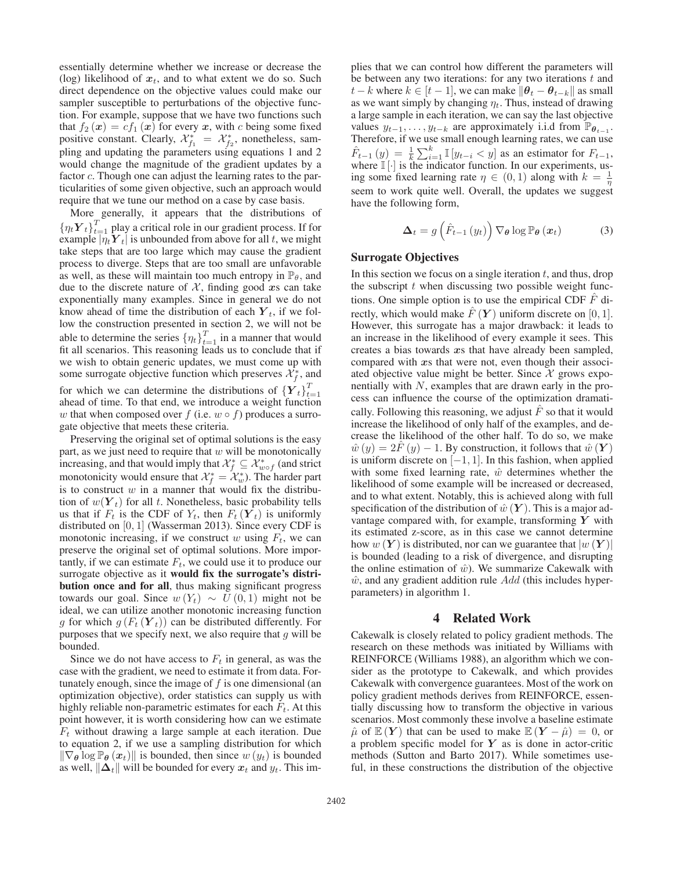essentially determine whether we increase or decrease the (log) likelihood of  $x_t$ , and to what extent we do so. Such direct dependence on the objective values could make our sampler susceptible to perturbations of the objective function. For example, suppose that we have two functions such that  $f_2(x) = cf_1(x)$  for every x, with c being some fixed positive constant. Clearly,  $\mathcal{X}_{f_1}^* = \mathcal{X}_{f_2}^*$ , nonetheless, sampling and undating the parameters using equations 1 and 2 pling and updating the parameters using equations 1 and 2 would change the magnitude of the gradient updates by a factor *c*. Though one can adjust the learning rates to the particularities of some given objective, such an approach would require that we tune our method on a case by case basis.

More generally, it appears that the distributions of  ${n_t Y_t}_{t=1}^T$  play a critical role in our gradient process. If for example  $|\eta_t Y_t|$  is unbounded from above for all t, we might take steps that are too large which may cause the gradient process to diverge. Steps that are too small are unfavorable as well, as these will maintain too much entropy in  $\mathbb{P}_{\theta}$ , and due to the discrete nature of  $X$ , finding good  $x$ s can take exponentially many examples. Since in general we do not know ahead of time the distribution of each  $Y_t$ , if we follow the construction presented in section 2, we will not be able to determine the series  $\{\eta_t\}_{t=1}^T$  in a manner that would fit all scenarios. This reasoning leads us to conclude that if we wish to obtain generic updates, we must come up with some surrogate objective function which preserves  $\mathcal{X}_f^*$ , and for which we can determine the distributions of  ${Y_t}_{t=1}^T$ ahead of time. To that end, we introduce a weight function w that when composed over f (i.e.  $w \circ f$ ) produces a surrogate objective that meets these criteria.

Preserving the original set of optimal solutions is the easy part, as we just need to require that  $w$  will be monotonically increasing, and that would imply that  $\mathcal{X}_f^* \subseteq \mathcal{X}_{w \circ f}^*$  (and strict monotonicity would ensure that  $\mathcal{X}_{f}^{*} = \mathcal{X}_{w}^{*}$ . The harder part is to construct  $w$  in a manner that would fix the distribuis to construct  $w$  in a manner that would fix the distribution of  $w(Y_t)$  for all t. Nonetheless, basic probability tells us that if  $F_t$  is the CDF of  $Y_t$ , then  $F_t(Y_t)$  is uniformly distributed on [0, 1] (Wasserman 2013). Since every CDF is monotonic increasing, if we construct w using  $F_t$ , we can preserve the original set of optimal solutions. More importantly, if we can estimate  $F_t$ , we could use it to produce our surrogate objective as it would fix the surrogate's distribution once and for all, thus making significant progress towards our goal. Since  $w(Y_t) \sim U(0, 1)$  might not be ideal, we can utilize another monotonic increasing function g for which  $g(F_t(Y_t))$  can be distributed differently. For purposes that we specify next, we also require that  $g$  will be bounded.

Since we do not have access to  $F_t$  in general, as was the case with the gradient, we need to estimate it from data. Fortunately enough, since the image of  $f$  is one dimensional (an optimization objective), order statistics can supply us with highly reliable non-parametric estimates for each  $F_t$ . At this point however, it is worth considering how can we estimate  $F_t$  without drawing a large sample at each iteration. Due to equation 2, if we use a sampling distribution for which  $\|\nabla_{\theta}\log\mathbb{P}_{\theta}(x_t)\|$  is bounded, then since  $w(y_t)$  is bounded as well,  $\|\Delta_t\|$  will be bounded for every  $x_t$  and  $y_t$ . This im-

plies that we can control how different the parameters will be between any two iterations: for any two iterations  $t$  and *t* − *k* where  $k \in [t-1]$ , we can make  $\|\boldsymbol{\theta}_t - \boldsymbol{\theta}_{t-k}\|$  as small as we want simply by changing  $\eta_t$ . Thus, instead of drawing a large sample in each iteration, we can say the last objective values  $y_{t-1}, \ldots, y_{t-k}$  are approximately i.i.d from  $\mathbb{P}_{\theta_{t-1}}$ . Therefore, if we use small enough learning rates, we can use  $\hat{F}_{t-1}(y) = \frac{1}{k} \sum_{i=1}^{k} \mathbb{I}[y_{t-i} < y]$  as an estimator for  $F_{t-1}$ , where  $\mathbb{I}[.]$  is the indicator function. In our experiments uswhere  $\mathbb{I}[\cdot]$  is the indicator function. In our experiments, us-<br>ing some fixed learning rate  $n \in (0, 1)$  along with  $k = \frac{1}{n}$ ing some fixed learning rate  $\eta \in (0,1)$  along with  $k = \frac{1}{\eta}$ <br>seem to work quite well. Overall, the undetes we suggest seem to work quite well. Overall, the updates we suggest have the following form,

$$
\Delta_{t} = g\left(\hat{F}_{t-1}\left(y_{t}\right)\right) \nabla_{\theta} \log \mathbb{P}_{\theta}\left(x_{t}\right) \tag{3}
$$

#### Surrogate Objectives

In this section we focus on a single iteration  $t$ , and thus, drop the subscript  $t$  when discussing two possible weight functions. One simple option is to use the empirical CDF  $\hat{F}$  directly, which would make  $\hat{F}(Y)$  uniform discrete on [0, 1]. However, this surrogate has a major drawback: it leads to an increase in the likelihood of every example it sees. This creates a bias towards *x*s that have already been sampled, compared with *x*s that were not, even though their associated objective value might be better. Since  $X$  grows exponentially with  $N$ , examples that are drawn early in the process can influence the course of the optimization dramatically. Following this reasoning, we adjust  $\hat{F}$  so that it would increase the likelihood of only half of the examples, and decrease the likelihood of the other half. To do so, we make  $\hat{w}(y)=2\hat{F}(y)-1$ . By construction, it follows that  $\hat{w}(Y)$ is uniform discrete on  $[-1, 1]$ . In this fashion, when applied with some fixed learning rate,  $\hat{w}$  determines whether the likelihood of some example will be increased or decreased, and to what extent. Notably, this is achieved along with full specification of the distribution of  $\hat{w}(\boldsymbol{Y})$ . This is a major advantage compared with, for example, transforming *Y* with its estimated z-score, as in this case we cannot determine how  $w(Y)$  is distributed, nor can we guarantee that  $|w(Y)|$ is bounded (leading to a risk of divergence, and disrupting the online estimation of  $\hat{w}$ ). We summarize Cakewalk with  $\hat{w}$ , and any gradient addition rule  $Add$  (this includes hyperparameters) in algorithm 1.

### 4 Related Work

Cakewalk is closely related to policy gradient methods. The research on these methods was initiated by Williams with REINFORCE (Williams 1988), an algorithm which we consider as the prototype to Cakewalk, and which provides Cakewalk with convergence guarantees. Most of the work on policy gradient methods derives from REINFORCE, essentially discussing how to transform the objective in various scenarios. Most commonly these involve a baseline estimate  $\hat{\mu}$  of  $\mathbb{E}(Y)$  that can be used to make  $\mathbb{E}(Y - \hat{\mu}) = 0$ , or a problem specific model for *Y* as is done in actor-critic methods (Sutton and Barto 2017). While sometimes useful, in these constructions the distribution of the objective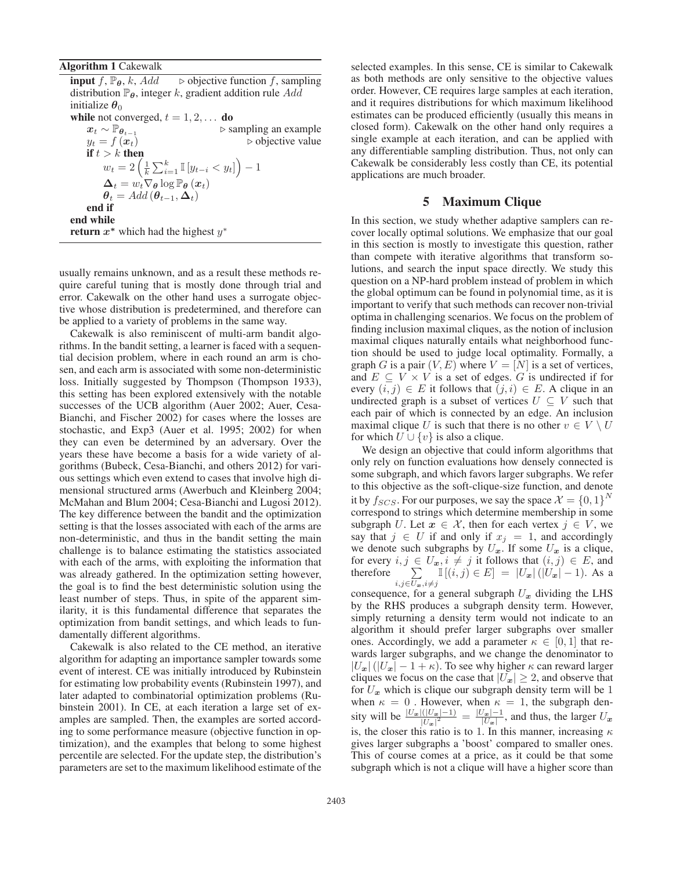#### Algorithm 1 Cakewalk

**input**  $f$ ,  $\mathbb{P}_{\theta}$ ,  $k$ , Add  $\Rightarrow$  objective function  $f$ , sampling distribution  $\mathbb{P}_{\theta}$ , integer k, gradient addition rule Add initialize  $\theta_0$ **while** not converged,  $t = 1, 2, ...$  **do**<br> $x_t \sim \mathbb{P}_{\theta_{t-1}}$   $\triangleright$  si  $x_t \sim \mathbb{P}_{\theta_{t-1}}$  > sampling an example <br>  $y_t = f(x_t)$  > objective value  $\triangleright$  objective value if  $t > k$  then  $w_t = 2\left(\frac{1}{k}\sum_{i=1}^k \mathbb{I}\left[y_{t-i} < y_t\right]\right) - 1$  $\Delta_t = w_t \nabla_{\theta} \log \mathbb{P}_{\theta} (x_t)$ <br> $\theta_t = Add(\theta_{t-1} \Delta_t)$  $\theta_t = Add(\theta_{t-1}, \Delta_t)$ end if end while return  $x^*$  which had the highest  $y^*$ 

usually remains unknown, and as a result these methods require careful tuning that is mostly done through trial and error. Cakewalk on the other hand uses a surrogate objective whose distribution is predetermined, and therefore can be applied to a variety of problems in the same way.

Cakewalk is also reminiscent of multi-arm bandit algorithms. In the bandit setting, a learner is faced with a sequential decision problem, where in each round an arm is chosen, and each arm is associated with some non-deterministic loss. Initially suggested by Thompson (Thompson 1933), this setting has been explored extensively with the notable successes of the UCB algorithm (Auer 2002; Auer, Cesa-Bianchi, and Fischer 2002) for cases where the losses are stochastic, and Exp3 (Auer et al. 1995; 2002) for when they can even be determined by an adversary. Over the years these have become a basis for a wide variety of algorithms (Bubeck, Cesa-Bianchi, and others 2012) for various settings which even extend to cases that involve high dimensional structured arms (Awerbuch and Kleinberg 2004; McMahan and Blum 2004; Cesa-Bianchi and Lugosi 2012). The key difference between the bandit and the optimization setting is that the losses associated with each of the arms are non-deterministic, and thus in the bandit setting the main challenge is to balance estimating the statistics associated with each of the arms, with exploiting the information that was already gathered. In the optimization setting however, the goal is to find the best deterministic solution using the least number of steps. Thus, in spite of the apparent similarity, it is this fundamental difference that separates the optimization from bandit settings, and which leads to fundamentally different algorithms.

Cakewalk is also related to the CE method, an iterative algorithm for adapting an importance sampler towards some event of interest. CE was initially introduced by Rubinstein for estimating low probability events (Rubinstein 1997), and later adapted to combinatorial optimization problems (Rubinstein 2001). In CE, at each iteration a large set of examples are sampled. Then, the examples are sorted according to some performance measure (objective function in optimization), and the examples that belong to some highest percentile are selected. For the update step, the distribution's parameters are set to the maximum likelihood estimate of the

selected examples. In this sense, CE is similar to Cakewalk as both methods are only sensitive to the objective values order. However, CE requires large samples at each iteration, and it requires distributions for which maximum likelihood estimates can be produced efficiently (usually this means in closed form). Cakewalk on the other hand only requires a single example at each iteration, and can be applied with any differentiable sampling distribution. Thus, not only can Cakewalk be considerably less costly than CE, its potential applications are much broader.

# 5 Maximum Clique

In this section, we study whether adaptive samplers can recover locally optimal solutions. We emphasize that our goal in this section is mostly to investigate this question, rather than compete with iterative algorithms that transform solutions, and search the input space directly. We study this question on a NP-hard problem instead of problem in which the global optimum can be found in polynomial time, as it is important to verify that such methods can recover non-trivial optima in challenging scenarios. We focus on the problem of finding inclusion maximal cliques, as the notion of inclusion maximal cliques naturally entails what neighborhood function should be used to judge local optimality. Formally, a graph G is a pair  $(V, E)$  where  $V = [N]$  is a set of vertices, and  $E \subseteq V \times V$  is a set of edges. G is undirected if for every  $(i, j) \in E$  it follows that  $(j, i) \in E$ . A clique in an undirected graph is a subset of vertices  $U \subseteq V$  such that each pair of which is connected by an edge. An inclusion maximal clique U is such that there is no other  $v \in V \setminus U$ for which  $U \cup \{v\}$  is also a clique.

We design an objective that could inform algorithms that only rely on function evaluations how densely connected is some subgraph, and which favors larger subgraphs. We refer to this objective as the soft-clique-size function, and denote it by  $f_{SCS}$ . For our purposes, we say the space  $\mathcal{X} = \{0, 1\}^N$ <br>correspond to strings which determine membership in some correspond to strings which determine membership in some subgraph U. Let  $x \in \mathcal{X}$ , then for each vertex  $j \in V$ , we say that  $j \in U$  if and only if  $x_j = 1$ , and accordingly we denote such subgraphs by  $U_x$ . If some  $U_x$  is a clique, for every  $i, j \in U_x, i \neq j$  it follows that  $(i, j) \in E$ , and therefore  $\sum_{i} |[(i, j) \in E] = |U_x| (|U_x| - 1)$ . As a  $\sum_{i,j \in U_{\bm{x}}, i \neq j}$  **I**[(*i*, *j*) ∈ *E*] = |U<sub>**x**</sub>|(|U<sub>**x**</sub>| − 1). As a

consequence, for a general subgraph  $U_x$  dividing the LHS by the RHS produces a subgraph density term. However, simply returning a density term would not indicate to an algorithm it should prefer larger subgraphs over smaller ones. Accordingly, we add a parameter  $\kappa \in [0, 1]$  that rewards larger subgraphs, and we change the denominator to  $|U_x|(|U_x| - 1 + \kappa)$ . To see why higher  $\kappa$  can reward larger cliques we focus on the case that  $|U_x| \geq 2$ , and observe that for  $U_x$  which is clique our subgraph density term will be 1 when  $\kappa = 0$ . However, when  $\kappa = 1$ , the subgraph denwhen  $\kappa = 0$ . However, when  $\kappa = 1$ , the subgraph density will be  $\frac{|U_{\mathbf{x}}|(|U_{\mathbf{x}}|-1)}{|U_{\mathbf{x}}|^2} = \frac{|U_{\mathbf{x}}|-1}{|U_{\mathbf{x}}|}$ , and thus, the larger  $U_{\mathbf{x}}$ is, the closer this ratio is to 1. In this manner, increasing  $\kappa$ gives larger subgraphs a 'boost' compared to smaller ones. This of course comes at a price, as it could be that some subgraph which is not a clique will have a higher score than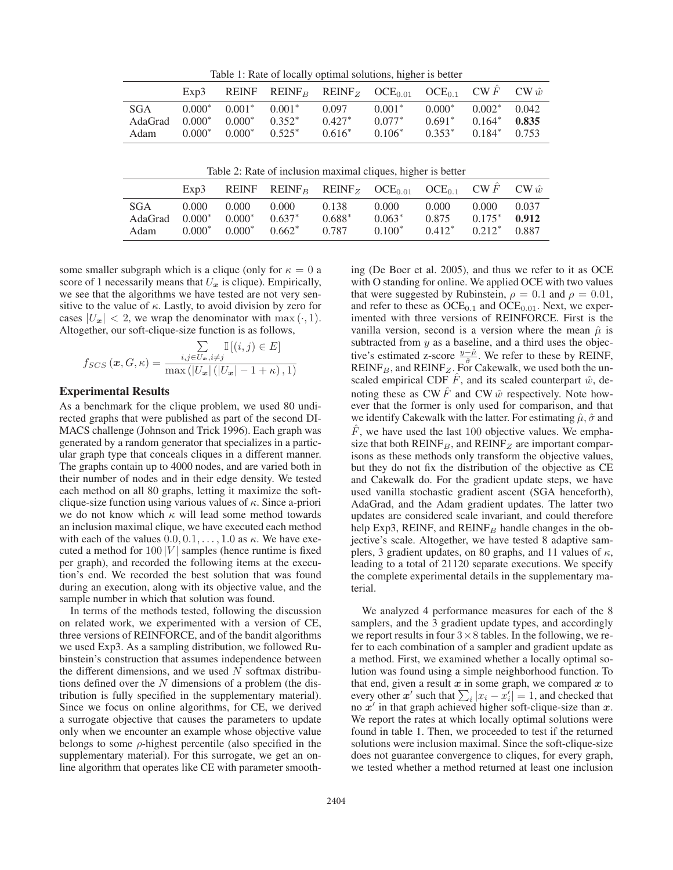Table 1: Rate of locally optimal solutions, higher is better

|                                                      | Exp3     |                                           |                       | REINF REINF <sub>B</sub> REINF <sub>Z</sub> OCE <sub>0.01</sub> OCE <sub>0.1</sub> CW F CW $\hat{w}$ |                                  |                                  |                                         |                |
|------------------------------------------------------|----------|-------------------------------------------|-----------------------|------------------------------------------------------------------------------------------------------|----------------------------------|----------------------------------|-----------------------------------------|----------------|
| SGA<br>$AdaGrad \quad 0.000^* \quad 0.000^*$<br>Adam | $0.000*$ | $0.000^*$ $0.001^*$ $0.001^*$<br>$0.000*$ | $0.352^*$<br>$0.525*$ | 0.097<br>$0.427*$<br>$0.616*$                                                                        | $0.001*$<br>$0.077*$<br>$0.106*$ | $0.000*$<br>$0.691*$<br>$0.353*$ | $0.002^*$ 0.042<br>$0.164*$<br>$0.184*$ | 0.835<br>0.753 |

|                                        | Exp3              |                               |                                | REINF REINF <sub>B</sub> REINF <sub>Z</sub> OCE <sub>0.01</sub> OCE <sub>0.1</sub> CW $\hat{F}$ CW $\hat{w}$ |                               |                             |                                       |                |
|----------------------------------------|-------------------|-------------------------------|--------------------------------|--------------------------------------------------------------------------------------------------------------|-------------------------------|-----------------------------|---------------------------------------|----------------|
| <b>SGA</b><br>$AdaGrad 0.000*$<br>Adam | 0.000<br>$0.000*$ | 0.000<br>$0.000*$<br>$0.000*$ | 0.000<br>$0.637*$<br>$0.662^*$ | 0.138<br>$0.688*$<br>0.787                                                                                   | 0.000<br>$0.063*$<br>$0.100*$ | 0.000<br>0.875<br>$0.412^*$ | 0.000<br>$0.175^*$<br>$0.212^*$ 0.887 | 0.037<br>0.912 |

some smaller subgraph which is a clique (only for  $\kappa = 0$  a score of 1 necessarily means that  $U_x$  is clique). Empirically, we see that the algorithms we have tested are not very sensitive to the value of  $\kappa$ . Lastly, to avoid division by zero for cases  $|U_x| < 2$ , we wrap the denominator with max  $(\cdot, 1)$ . Altogether, our soft-clique-size function is as follows,

$$
f_{SCS}(\boldsymbol{x}, G, \kappa) = \frac{\sum\limits_{i,j \in U_{\boldsymbol{x}}, i \neq j} \mathbb{I}[(i,j) \in E]}{\max (|U_{\boldsymbol{x}}| (|U_{\boldsymbol{x}}| - 1 + \kappa), 1)}
$$

# Experimental Results

As a benchmark for the clique problem, we used 80 undirected graphs that were published as part of the second DI-MACS challenge (Johnson and Trick 1996). Each graph was generated by a random generator that specializes in a particular graph type that conceals cliques in a different manner. The graphs contain up to 4000 nodes, and are varied both in their number of nodes and in their edge density. We tested each method on all 80 graphs, letting it maximize the softclique-size function using various values of  $\kappa$ . Since a-priori we do not know which  $\kappa$  will lead some method towards an inclusion maximal clique, we have executed each method with each of the values  $0.0, 0.1, \ldots, 1.0$  as  $\kappa$ . We have executed a method for  $100 |V|$  samples (hence runtime is fixed per graph), and recorded the following items at the execution's end. We recorded the best solution that was found during an execution, along with its objective value, and the sample number in which that solution was found.

In terms of the methods tested, following the discussion on related work, we experimented with a version of CE, three versions of REINFORCE, and of the bandit algorithms we used Exp3. As a sampling distribution, we followed Rubinstein's construction that assumes independence between the different dimensions, and we used  $N$  softmax distributions defined over the  $N$  dimensions of a problem (the distribution is fully specified in the supplementary material). Since we focus on online algorithms, for CE, we derived a surrogate objective that causes the parameters to update only when we encounter an example whose objective value belongs to some  $\rho$ -highest percentile (also specified in the supplementary material). For this surrogate, we get an online algorithm that operates like CE with parameter smooth-

ing (De Boer et al. 2005), and thus we refer to it as OCE with O standing for online. We applied OCE with two values that were suggested by Rubinstein,  $\rho = 0.1$  and  $\rho = 0.01$ , and refer to these as  $OCE_{0.1}$  and  $OCE_{0.01}$ . Next, we experimented with three versions of REINFORCE. First is the vanilla version, second is a version where the mean  $\hat{\mu}$  is subtracted from  $y$  as a baseline, and a third uses the objective's estimated z-score  $\frac{y-\hat{\mu}}{\hat{\sigma}}$ . We refer to these by REINF,  $REINF<sub>B</sub>$ , and  $REINF<sub>Z</sub>$ . For Cakewalk, we used both the unscaled empirical CDF  $\hat{F}$ , and its scaled counterpart  $\hat{w}$ , denoting these as CW  $\hat{F}$  and CW  $\hat{w}$  respectively. Note however that the former is only used for comparison, and that we identify Cakewalk with the latter. For estimating  $\hat{\mu}, \hat{\sigma}$  and  $F$ , we have used the last 100 objective values. We emphasize that both  $REINF_B$ , and  $REINF_Z$  are important comparisons as these methods only transform the objective values, but they do not fix the distribution of the objective as CE and Cakewalk do. For the gradient update steps, we have used vanilla stochastic gradient ascent (SGA henceforth), AdaGrad, and the Adam gradient updates. The latter two updates are considered scale invariant, and could therefore help Exp3, REINF, and REINF<sub>B</sub> handle changes in the objective's scale. Altogether, we have tested 8 adaptive samplers, 3 gradient updates, on 80 graphs, and 11 values of  $\kappa$ , leading to a total of 21120 separate executions. We specify the complete experimental details in the supplementary material.

We analyzed 4 performance measures for each of the 8 samplers, and the 3 gradient update types, and accordingly we report results in four  $3 \times 8$  tables. In the following, we refer to each combination of a sampler and gradient update as a method. First, we examined whether a locally optimal solution was found using a simple neighborhood function. To that end, given a result  $x$  in some graph, we compared  $x$  to every other  $x'$  such that  $\sum_i |x_i - x'_i| = 1$ , and checked that no  $x'$  in that graph achieved higher soft-clique-size than x. no  $x'$  in that graph achieved higher soft-clique-size than  $x$ . We report the rates at which locally optimal solutions were found in table 1. Then, we proceeded to test if the returned solutions were inclusion maximal. Since the soft-clique-size does not guarantee convergence to cliques, for every graph, we tested whether a method returned at least one inclusion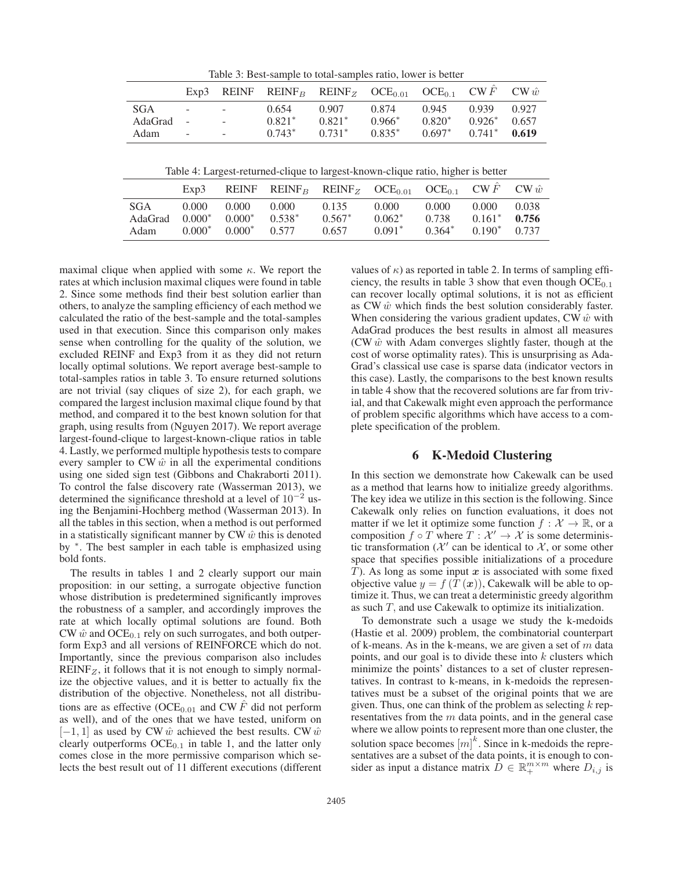|             | Exp3                     |            |          | REINF REINF <sub>B</sub> REINF <sub>Z</sub> OCE <sub>0.01</sub> OCE <sub>0.1</sub> CW F CW $\hat{w}$ |          |          |          |       |
|-------------|--------------------------|------------|----------|------------------------------------------------------------------------------------------------------|----------|----------|----------|-------|
| SGA         | $\sim$                   | $\sim 100$ | 0.654    | 0.907                                                                                                | 0.874    | 0.945    | 0.939    | 0.927 |
| $AdaGrad -$ |                          | $\sim$     | $0.821*$ | $0.821*$                                                                                             | $0.966*$ | $0.820*$ | $0.926*$ | 0.657 |
| Adam        | $\overline{\phantom{a}}$ | $\sim$     | $0.743*$ | $0.731*$                                                                                             | $0.835*$ | $0.697*$ | $0.741*$ | 0.619 |
|             |                          |            |          |                                                                                                      |          |          |          |       |

Table 3: Best-sample to total-samples ratio, lower is better

|                                  | Exp3              |                                                 |       | REINF REINF <sub>B</sub> REINF <sub>Z</sub> OCE <sub>0.01</sub> OCE <sub>0.1</sub> CW F CW $\hat{w}$ |                                |                            |                                      |                |
|----------------------------------|-------------------|-------------------------------------------------|-------|------------------------------------------------------------------------------------------------------|--------------------------------|----------------------------|--------------------------------------|----------------|
| SGA.<br>$AdaGrad 0.000*$<br>Adam | 0.000<br>$0.000*$ | 0.000<br>$0.000^*$ $0.538^*$<br>$0.000^*$ 0.577 | 0.000 | 0.135<br>$0.567*$<br>0.657                                                                           | 0.000<br>$0.062^*$<br>$0.091*$ | 0.000<br>0.738<br>$0.364*$ | 0.000<br>$0.161*$<br>$0.190^*$ 0.737 | 0.038<br>0.756 |

maximal clique when applied with some  $\kappa$ . We report the rates at which inclusion maximal cliques were found in table 2. Since some methods find their best solution earlier than others, to analyze the sampling efficiency of each method we calculated the ratio of the best-sample and the total-samples used in that execution. Since this comparison only makes sense when controlling for the quality of the solution, we excluded REINF and Exp3 from it as they did not return locally optimal solutions. We report average best-sample to total-samples ratios in table 3. To ensure returned solutions are not trivial (say cliques of size 2), for each graph, we compared the largest inclusion maximal clique found by that method, and compared it to the best known solution for that graph, using results from (Nguyen 2017). We report average largest-found-clique to largest-known-clique ratios in table 4. Lastly, we performed multiple hypothesis tests to compare every sampler to CW  $\hat{w}$  in all the experimental conditions using one sided sign test (Gibbons and Chakraborti 2011). To control the false discovery rate (Wasserman 2013), we determined the significance threshold at a level of  $10^{-2}$  using the Benjamini-Hochberg method (Wasserman 2013). In all the tables in this section, when a method is out performed in a statistically significant manner by  $CW \hat{w}$  this is denoted by <sup>∗</sup>. The best sampler in each table is emphasized using bold fonts.

The results in tables 1 and 2 clearly support our main proposition: in our setting, a surrogate objective function whose distribution is predetermined significantly improves the robustness of a sampler, and accordingly improves the rate at which locally optimal solutions are found. Both CW  $\hat{w}$  and OCE<sub>0.1</sub> rely on such surrogates, and both outperform Exp3 and all versions of REINFORCE which do not. Importantly, since the previous comparison also includes  $REINF_Z$ , it follows that it is not enough to simply normalize the objective values, and it is better to actually fix the distribution of the objective. Nonetheless, not all distributions are as effective (OCE<sub>0.01</sub> and CW  $\hat{F}$  did not perform as well), and of the ones that we have tested, uniform on  $[-1, 1]$  as used by CW  $\hat{w}$  achieved the best results. CW  $\hat{w}$ clearly outperforms  $OCE_{0.1}$  in table 1, and the latter only comes close in the more permissive comparison which selects the best result out of 11 different executions (different

values of  $\kappa$ ) as reported in table 2. In terms of sampling efficiency, the results in table 3 show that even though  $OCE_{0.1}$ can recover locally optimal solutions, it is not as efficient as CW  $\hat{w}$  which finds the best solution considerably faster. When considering the various gradient updates, CW  $\hat{w}$  with AdaGrad produces the best results in almost all measures (CW  $\hat{w}$  with Adam converges slightly faster, though at the cost of worse optimality rates). This is unsurprising as Ada-Grad's classical use case is sparse data (indicator vectors in this case). Lastly, the comparisons to the best known results in table 4 show that the recovered solutions are far from trivial, and that Cakewalk might even approach the performance of problem specific algorithms which have access to a complete specification of the problem.

# 6 K-Medoid Clustering

In this section we demonstrate how Cakewalk can be used as a method that learns how to initialize greedy algorithms. The key idea we utilize in this section is the following. Since Cakewalk only relies on function evaluations, it does not matter if we let it optimize some function  $f: \mathcal{X} \to \mathbb{R}$ , or a composition  $f \circ T$  where  $T : \mathcal{X}' \to \mathcal{X}$  is some deterministic transformation ( $\mathcal{X}'$  can be identical to  $\mathcal{X}$ , or some other space that specifies possible initializations of a procedure T). As long as some input *x* is associated with some fixed objective value  $y = f(T(x))$ , Cakewalk will be able to optimize it. Thus, we can treat a deterministic greedy algorithm as such  $T$ , and use Cakewalk to optimize its initialization.

To demonstrate such a usage we study the k-medoids (Hastie et al. 2009) problem, the combinatorial counterpart of k-means. As in the k-means, we are given a set of  $m$  data points, and our goal is to divide these into  $k$  clusters which minimize the points' distances to a set of cluster representatives. In contrast to k-means, in k-medoids the representatives must be a subset of the original points that we are given. Thus, one can think of the problem as selecting  $k$  representatives from the  $m$  data points, and in the general case where we allow points to represent more than one cluster, the solution space becomes  $\left[m\right]^k$ . Since in k-medoids the repre-<br>sentatives are a subset of the data points, it is enough to consentatives are a subset of the data points, it is enough to consider as input a distance matrix  $\overline{D} \in \mathbb{R}^{m \times m}_+$  where  $D_{i,j}$  is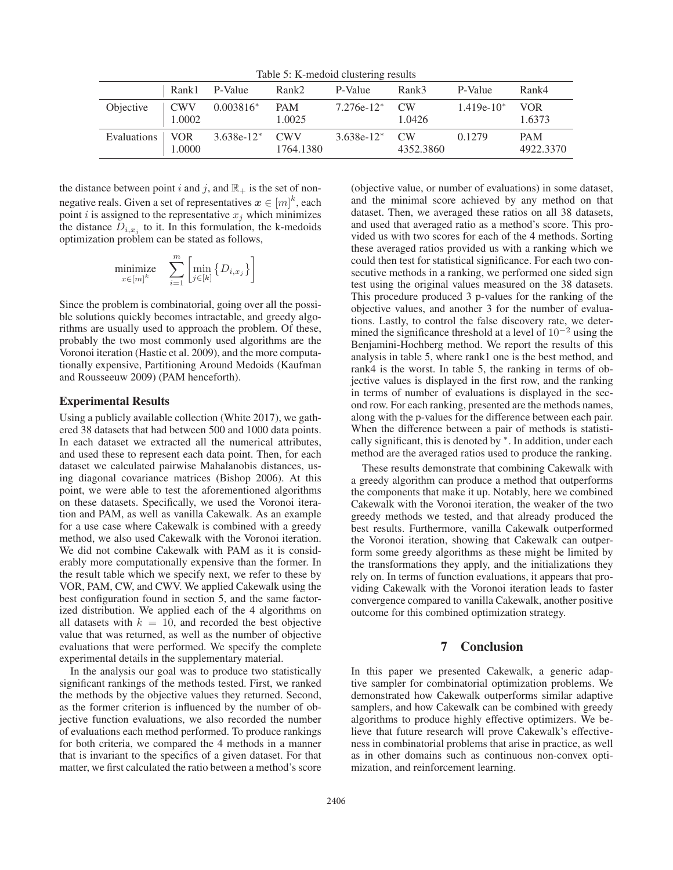Table 5: K-medoid clustering results

|                   |                       | Rank1 P-Value    | Rank2                | P-Value      | Rank3                       | P-Value      | Rank4                   |
|-------------------|-----------------------|------------------|----------------------|--------------|-----------------------------|--------------|-------------------------|
| Objective         | $\vert$ CWV<br>1.0002 | $0.003816^*$     | <b>PAM</b><br>1.0025 | $7.276e-12*$ | CW <sub></sub><br>1.0426    | $1.419e-10*$ | VOR.<br>1.6373          |
| Evaluations   VOR | 1.0000                | $3.638e-12*$ CWV | 1764.1380            | $3.638e-12*$ | CW <sub></sub><br>4352.3860 | 0.1279       | <b>PAM</b><br>4922.3370 |

the distance between point i and j, and  $\mathbb{R}_+$  is the set of nonnegative reals. Given a set of representatives  $x \in [m]^k$ , each noint i is assigned to the representative  $x_i$ , which minimizes point *i* is assigned to the representative  $x_j$  which minimizes the distance  $D_{i,x_j}$  to it. In this formulation, the k-medoids optimization problem can be stated as follows,

$$
\underset{x \in [m]^k}{\text{minimize}} \quad \sum_{i=1}^m \left[ \underset{j \in [k]}{\text{min}} \left\{ D_{i,x_j} \right\} \right]
$$

Since the problem is combinatorial, going over all the possible solutions quickly becomes intractable, and greedy algorithms are usually used to approach the problem. Of these, probably the two most commonly used algorithms are the Voronoi iteration (Hastie et al. 2009), and the more computationally expensive, Partitioning Around Medoids (Kaufman and Rousseeuw 2009) (PAM henceforth).

### Experimental Results

Using a publicly available collection (White 2017), we gathered 38 datasets that had between 500 and 1000 data points. In each dataset we extracted all the numerical attributes, and used these to represent each data point. Then, for each dataset we calculated pairwise Mahalanobis distances, using diagonal covariance matrices (Bishop 2006). At this point, we were able to test the aforementioned algorithms on these datasets. Specifically, we used the Voronoi iteration and PAM, as well as vanilla Cakewalk. As an example for a use case where Cakewalk is combined with a greedy method, we also used Cakewalk with the Voronoi iteration. We did not combine Cakewalk with PAM as it is considerably more computationally expensive than the former. In the result table which we specify next, we refer to these by VOR, PAM, CW, and CWV. We applied Cakewalk using the best configuration found in section 5, and the same factorized distribution. We applied each of the 4 algorithms on all datasets with  $k = 10$ , and recorded the best objective value that was returned, as well as the number of objective evaluations that were performed. We specify the complete experimental details in the supplementary material.

In the analysis our goal was to produce two statistically significant rankings of the methods tested. First, we ranked the methods by the objective values they returned. Second, as the former criterion is influenced by the number of objective function evaluations, we also recorded the number of evaluations each method performed. To produce rankings for both criteria, we compared the 4 methods in a manner that is invariant to the specifics of a given dataset. For that matter, we first calculated the ratio between a method's score

(objective value, or number of evaluations) in some dataset, and the minimal score achieved by any method on that dataset. Then, we averaged these ratios on all 38 datasets, and used that averaged ratio as a method's score. This provided us with two scores for each of the 4 methods. Sorting these averaged ratios provided us with a ranking which we could then test for statistical significance. For each two consecutive methods in a ranking, we performed one sided sign test using the original values measured on the 38 datasets. This procedure produced 3 p-values for the ranking of the objective values, and another 3 for the number of evaluations. Lastly, to control the false discovery rate, we determined the significance threshold at a level of <sup>10</sup><sup>−</sup><sup>2</sup> using the Benjamini-Hochberg method. We report the results of this analysis in table 5, where rank1 one is the best method, and rank4 is the worst. In table 5, the ranking in terms of objective values is displayed in the first row, and the ranking in terms of number of evaluations is displayed in the second row. For each ranking, presented are the methods names, along with the p-values for the difference between each pair. When the difference between a pair of methods is statistically significant, this is denoted by <sup>∗</sup>. In addition, under each method are the averaged ratios used to produce the ranking.

These results demonstrate that combining Cakewalk with a greedy algorithm can produce a method that outperforms the components that make it up. Notably, here we combined Cakewalk with the Voronoi iteration, the weaker of the two greedy methods we tested, and that already produced the best results. Furthermore, vanilla Cakewalk outperformed the Voronoi iteration, showing that Cakewalk can outperform some greedy algorithms as these might be limited by the transformations they apply, and the initializations they rely on. In terms of function evaluations, it appears that providing Cakewalk with the Voronoi iteration leads to faster convergence compared to vanilla Cakewalk, another positive outcome for this combined optimization strategy.

### 7 Conclusion

In this paper we presented Cakewalk, a generic adaptive sampler for combinatorial optimization problems. We demonstrated how Cakewalk outperforms similar adaptive samplers, and how Cakewalk can be combined with greedy algorithms to produce highly effective optimizers. We believe that future research will prove Cakewalk's effectiveness in combinatorial problems that arise in practice, as well as in other domains such as continuous non-convex optimization, and reinforcement learning.